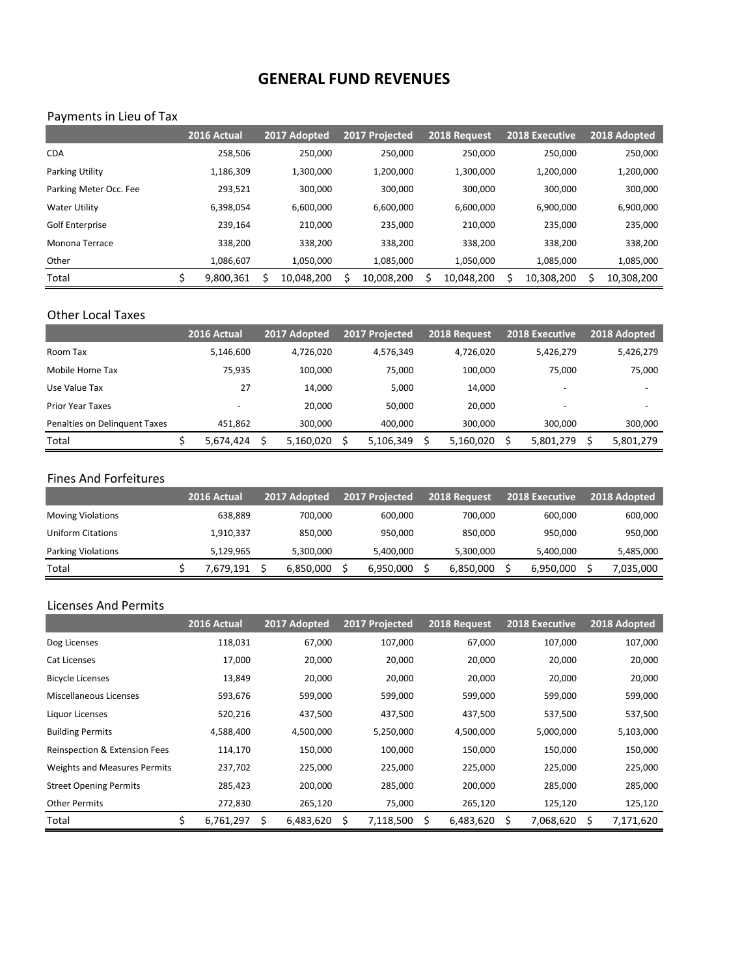# **GENERAL FUND REVENUES**

## Payments in Lieu of Tax

|                        | 2016 Actual | 2017 Adopted |   | 2017 Projected |   | 2018 Request |   | 2018 Executive | 2018 Adopted |
|------------------------|-------------|--------------|---|----------------|---|--------------|---|----------------|--------------|
| <b>CDA</b>             | 258.506     | 250.000      |   | 250.000        |   | 250.000      |   | 250.000        | 250,000      |
| <b>Parking Utility</b> | 1,186,309   | 1,300,000    |   | 1,200,000      |   | 1,300,000    |   | 1,200,000      | 1,200,000    |
| Parking Meter Occ. Fee | 293.521     | 300,000      |   | 300,000        |   | 300,000      |   | 300,000        | 300,000      |
| <b>Water Utility</b>   | 6,398,054   | 6,600,000    |   | 6,600,000      |   | 6,600,000    |   | 6,900,000      | 6,900,000    |
| Golf Enterprise        | 239.164     | 210,000      |   | 235,000        |   | 210,000      |   | 235,000        | 235,000      |
| Monona Terrace         | 338.200     | 338.200      |   | 338.200        |   | 338.200      |   | 338,200        | 338,200      |
| Other                  | 1,086,607   | 1,050,000    |   | 1,085,000      |   | 1,050,000    |   | 1,085,000      | 1,085,000    |
| Total                  | 9,800,361   | 10,048,200   | Ś | 10,008,200     | Ś | 10,048,200   | ς | 10,308,200     | 10,308,200   |

#### Other Local Taxes

|                               | 2016 Actual              | 2017 Adopted | 2017 Projected | 2018 Request | <b>2018 Executive</b> | 2018 Adopted             |
|-------------------------------|--------------------------|--------------|----------------|--------------|-----------------------|--------------------------|
| Room Tax                      | 5,146,600                | 4,726,020    | 4.576.349      | 4.726.020    | 5,426,279             | 5,426,279                |
| Mobile Home Tax               | 75,935                   | 100,000      | 75,000         | 100.000      | 75.000                | 75,000                   |
| Use Value Tax                 | 27                       | 14,000       | 5,000          | 14.000       |                       |                          |
| <b>Prior Year Taxes</b>       | $\overline{\phantom{0}}$ | 20,000       | 50.000         | 20.000       |                       | $\overline{\phantom{0}}$ |
| Penalties on Delinguent Taxes | 451.862                  | 300,000      | 400.000        | 300.000      | 300.000               | 300,000                  |
| Total                         | 5.674.424                | 5,160,020    | 5,106,349      | 5,160,020    | 5,801,279             | 5,801,279                |

#### Fines And Forfeitures

|                          | 2016 Actual | 2017 Adopted | 2017 Projected | 2018 Request | 2018 Executive | 2018 Adopted |
|--------------------------|-------------|--------------|----------------|--------------|----------------|--------------|
| <b>Moving Violations</b> | 638.889     | 700.000      | 600.000        | 700.000      | 600.000        | 600,000      |
| Uniform Citations        | 1,910,337   | 850.000      | 950.000        | 850.000      | 950.000        | 950,000      |
| Parking Violations       | 5.129.965   | 5,300,000    | 5.400.000      | 5,300,000    | 5.400.000      | 5,485,000    |
| Total                    | 7,679,191   | 6.850.000    | 6.950.000      | 6,850,000    | 6,950,000      | 7,035,000    |

## Licenses And Permits

|                               | 2016 Actual     | 2017 Adopted    | 2017 Projected | 2018 Request     | <b>2018 Executive</b> | 2018 Adopted    |
|-------------------------------|-----------------|-----------------|----------------|------------------|-----------------------|-----------------|
| Dog Licenses                  | 118,031         | 67,000          | 107,000        | 67,000           | 107,000               | 107,000         |
| Cat Licenses                  | 17,000          | 20,000          | 20,000         | 20,000           | 20,000                | 20,000          |
| <b>Bicycle Licenses</b>       | 13,849          | 20,000          | 20,000         | 20,000           | 20,000                | 20,000          |
| Miscellaneous Licenses        | 593,676         | 599,000         | 599,000        | 599,000          | 599,000               | 599,000         |
| Liquor Licenses               | 520,216         | 437,500         | 437,500        | 437,500          | 537,500               | 537,500         |
| <b>Building Permits</b>       | 4,588,400       | 4,500,000       | 5,250,000      | 4,500,000        | 5,000,000             | 5,103,000       |
| Reinspection & Extension Fees | 114,170         | 150,000         | 100,000        | 150,000          | 150,000               | 150,000         |
| Weights and Measures Permits  | 237,702         | 225,000         | 225,000        | 225,000          | 225,000               | 225,000         |
| <b>Street Opening Permits</b> | 285,423         | 200,000         | 285,000        | 200,000          | 285,000               | 285,000         |
| <b>Other Permits</b>          | 272,830         | 265,120         | 75,000         | 265,120          | 125,120               | 125,120         |
| Total                         | \$<br>6,761,297 | \$<br>6,483,620 | 7,118,500<br>Ś | 6,483,620<br>\$. | \$.<br>7,068,620      | S.<br>7,171,620 |